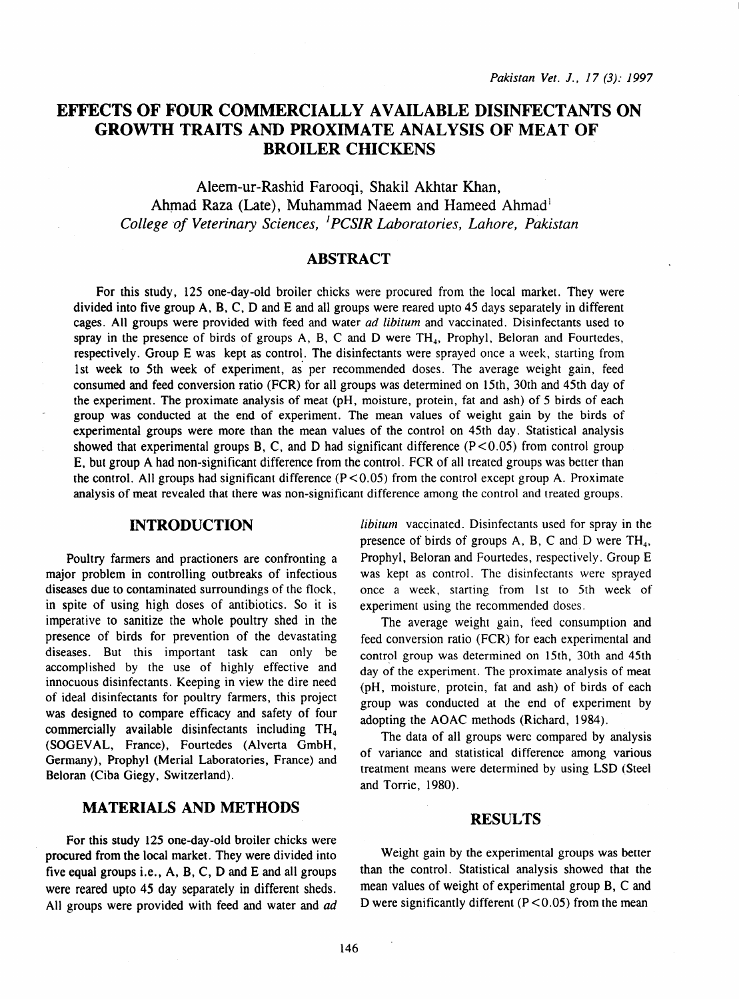# EFFECTS OF FOUR COMMERCIALLY AVAILABLE DISINFECTANTS ON GROWTH TRAITS AND PROXIMATE ANALYSIS OF MEAT OF BROILER CHICKENS

Aleem-ur-Rashid Farooqi, Shakil Akhtar Khan, Ahmad Raza (Late), Muhammad Naeem and Hameed Ahmad<sup>1</sup> *College of Veterinary Sciences,* <sup>1</sup>*PC SIR Laboratories, Lahore, Pakistan* 

## ABSTRACT

For this study, 125 one-day-old broiler chicks were procured from the local market. They were divided into five group A, 8, C, D and E and all groups were reared upto 45 days separately in different cages. All groups were provided with feed and water *ad libitum* and vaccinated. Disinfectants used to spray in the presence of birds of groups  $A$ ,  $B$ ,  $C$  and  $D$  were  $TH_4$ , Prophyl, Beloran and Fourtedes, respectively. Group E was kept as control. The disinfectants were sprayed once a week, starting from 1st week to 5th week of experiment, as per recommended doses. The average weight gain, feed consumed and feed conversion ratio (FCR) for all groups was determined on 15th, 30th and 45th day of the experiment. The proximate analysis of meat (pH, moisture, protein, fat and ash) of 5 birds of each group was conducted at the end of experiment. The mean values of weight gain by the birds of experimental groups were more than the mean values of the control on 45th day. Statistical analysis showed that experimental groups B, C, and D had significant difference  $(P<0.05)$  from control group E, but group A had non-significant difference from the control. FCR of all treated groups was better than the control. All groups had significant difference  $(P < 0.05)$  from the control except group A. Proximate analysis of meat revealed that there was non-significant difference among the control and treated groups.

### INTRODUCTION

Poultry farmers and practioners are confronting a major problem in controlling outbreaks of infectious diseases due to contaminated surroundings of the flock, in spite of using high doses of antibiotics. So it is imperative to sanitize the whole poultry shed in the presence of birds for prevention of the devastating diseases. But this important task can only be accomplished by the use of highly effective and innocuous disinfectants. Keeping in view the dire need of ideal disinfectants for poultry farmers, this project was designed to compare efficacy and safety of four commercially available disinfectants including  $TH<sub>4</sub>$ (SOGEV AL, France), Fourtedes (Alverta GmbH, Germany), Prophyl (Merial Laboratories, France) and Beloran (Ciba Giegy, Switzerland).

# MATERIALS AND METHODS

For this study 125 one-day-old broiler chicks were procured from the local market. They were divided into five equal groups i.e., A, B, C, D and E and all groups were reared upto 45 day separately in different sheds. All groups were provided with feed and water and ad *libitum* vaccinated. Disinfectants used for spray in the presence of birds of groups A, B, C and D were  $TH_4$ , Prophyl, Beloran and Fourtedes, respectively. Group E was kept as control. The disinfectants were sprayed once a week, starting from 1st to 5th week of experiment using the recommended doses.

The average weight gain, feed consumption and feed conversion ratio (FCR) for each experimental and control group was determined on 15th, 30th and 45th day of the experiment. The proximate analysis of meat (pH, moisture, protein, fat and ash) of birds of each group was conducted at the end of experiment by adopting the AOAC methods (Richard, 1984).

The data of all groups were compared by analysis of variance and statistical difference among various treatment means were determined by using LSD (Steel and Torrie, 1980).

### RESULTS

Weight gain by the experimental groups was better than the control. Statistical analysis showed that the mean values of weight of experimental group B, C and D were significantly different  $(P < 0.05)$  from the mean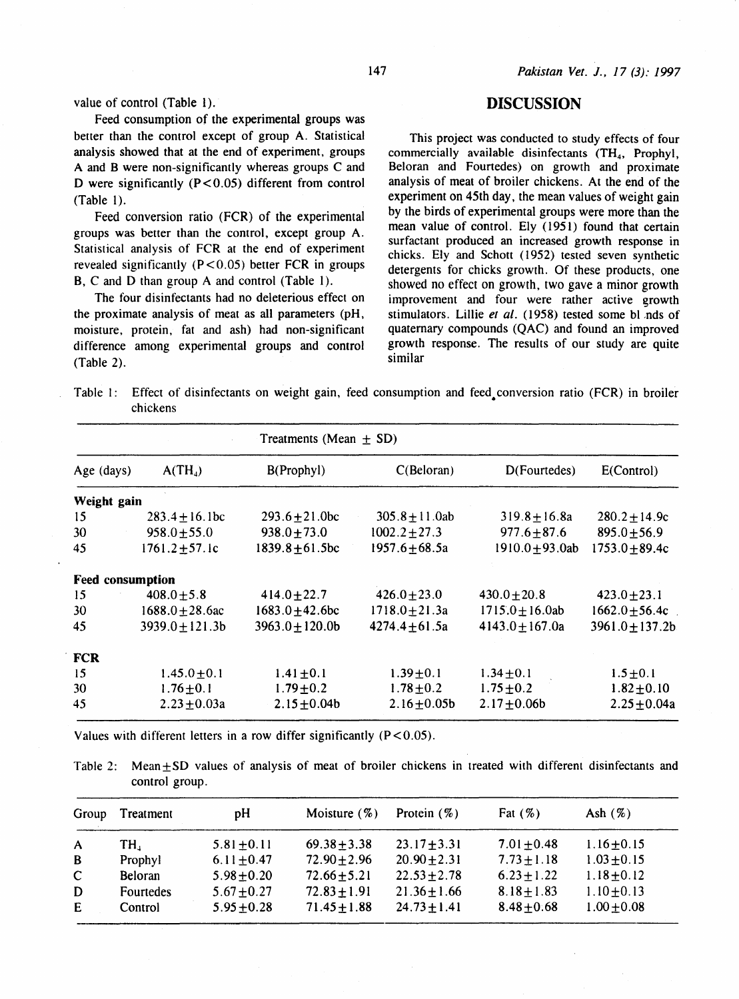value of control (Table 1).

Feed consumption of the experimental groups was better than the control except of group A. Statistical analysis showed that at the end of experiment, groups A and B were non-significantly whereas groups C and D were significantly  $(P < 0.05)$  different from control (Table 1).

Feed conversion ratio (FCR) of the experimental groups was better than the control, except group A. Statistical analysis of FCR at the end of experiment revealed significantly  $(P < 0.05)$  better FCR in groups B, C and D than group A and control (Table I).

The four disinfectants had no deleterious effect on the proximate analysis of meat as all parameters (pH, moisture, protein, fat and ash) had non-significant difference among experimental groups and control (Table 2).

## DISCUSSION

This project was conducted to study effects of four commercially available disinfectants  $(TH<sub>4</sub>,$  Prophyl, Beloran and Fourtedes) on growth and proximate analysis of meat of broiler chickens. At the end of the experiment on 45th day, the mean values of weight gain by the birds of experimental groups were more than the mean value of control. Ely (1951) found that certain surfactant produced an increased growth response in chicks. Ely and Schott ( 1952) tested seven synthetic detergents for chicks growth. Of these products, one showed no effect on growth, two gave a minor growth improvement and four were rather active growth stimulators. Lillie et al. (1958) tested some bl nds of quaternary compounds (QAC) and found an improved growth response. The results of our study are quite similar

Table I: Effect of disinfectants on weight gain, feed consumption and feed. conversion ratio (FCR) in broiler chickens

| Treatments (Mean $\pm$ SD) |                      |                    |                      |                     |  |  |
|----------------------------|----------------------|--------------------|----------------------|---------------------|--|--|
| $A(TH_4)$                  | B(Prophyl)           | C(Beloran)         | D(Fourtedes)         | E(Control)          |  |  |
| Weight gain                |                      |                    |                      |                     |  |  |
| $283.4 + 16.1bc$           | $293.6 + 21.0$ bc    | $305.8 + 11.0ab$   | $319.8 + 16.8a$      | $280.2 + 14.9c$     |  |  |
| $958.0 + 55.0$             | $938.0 + 73.0$       | $1002.2 \pm 27.3$  | $977.6 + 87.6$       | $895.0 + 56.9$      |  |  |
| $1761.2 \pm 57.1c$         | $1839.8 \pm 61.5$ bc | $1957.6 \pm 68.5a$ | 1910.0 $\pm$ 93.0ab  | $1753.0 + 89.4c$    |  |  |
| <b>Feed consumption</b>    |                      |                    |                      |                     |  |  |
| $408.0 \pm 5.8$            | $414.0 \pm 22.7$     | $426.0 \pm 23.0$   | $430.0 + 20.8$       | $423.0 \pm 23.1$    |  |  |
| $1688.0 \pm 28.6$ ac       | $1683.0 + 42.6$ bc   | $1718.0 + 21.3a$   | $1715.0 \pm 16.0$ ab | $1662.0 \pm 56.4c$  |  |  |
| $3939.0 \pm 121.3 b$       | $3963.0 \pm 120.0$   | $4274.4 + 61.5a$   | $4143.0 \pm 167.0a$  | $3961.0 \pm 137.2b$ |  |  |
|                            |                      |                    |                      |                     |  |  |
| $1.45.0 \pm 0.1$           | $1.41 \pm 0.1$       | $1.39 \pm 0.1$     | $1.34 \pm 0.1$       | $1.5 \pm 0.1$       |  |  |
| $1.76 \pm 0.1$             | $1.79 \pm 0.2$       | $1.78 \pm 0.2$     | $1.75 \pm 0.2$       | $1.82 \pm 0.10$     |  |  |
| $2.23 \pm 0.03a$           | $2.15 \pm 0.04b$     | $2.16 \pm 0.05b$   | $2.17 + 0.06$        | $2.25 \pm 0.04a$    |  |  |
|                            |                      |                    |                      |                     |  |  |

Values with different letters in a row differ significantly  $(P<0.05)$ .

Table 2: Mean  $\pm$  SD values of analysis of meat of broiler chickens in treated with different disinfectants and control group.

| Group        | Treatment      | pH              | Moisture $(\%)$  | Protein $(\%)$   | Fat $(\%)$      | Ash $(\%)$      |
|--------------|----------------|-----------------|------------------|------------------|-----------------|-----------------|
| A            | TH.            | $5.81 \pm 0.11$ | $69.38 + 3.38$   | $23.17 \pm 3.31$ | $7.01 \pm 0.48$ | $1.16 \pm 0.15$ |
| B            | Prophyl        | $6.11 \pm 0.47$ | $72.90 \pm 2.96$ | $20.90 \pm 2.31$ | $7.73 \pm 1.18$ | $1.03 \pm 0.15$ |
| $\mathbf{C}$ | <b>Beloran</b> | $5.98 + 0.20$   | $72.66 + 5.21$   | $22.53 \pm 2.78$ | $6.23 \pm 1.22$ | $1.18 \pm 0.12$ |
| D            | Fourtedes      | $5.67 \pm 0.27$ | $72.83 \pm 1.91$ | $21.36 \pm 1.66$ | $8.18 \pm 1.83$ | $1.10 \pm 0.13$ |
| E            | Control        | $5.95 \pm 0.28$ | $71.45 \pm 1.88$ | $24.73 \pm 1.41$ | $8.48 \pm 0.68$ | $1.00 \pm 0.08$ |